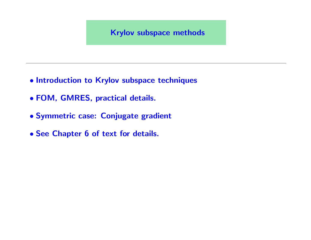- Introduction to Krylov subspace techniques
- FOM, GMRES, practical details.
- Symmetric case: Conjugate gradient
- See Chapter 6 of text for details.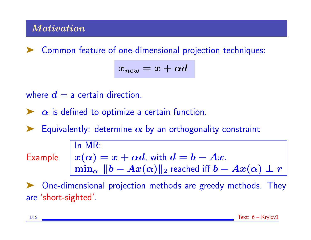# **Motivation**

➤ Common feature of one-dimensional projection techniques:

$$
x_{new} = x + \alpha d
$$

where  $\boldsymbol{d} = \boldsymbol{a}$  certain direction.

 $\triangleright$   $\alpha$  is defined to optimize a certain function.

Equivalently: determine  $\alpha$  by an orthogonality constraint

Example

$$
\begin{array}{|l|l|}\n\hline\n\ln MR: \\
x(\alpha) = x + \alpha d, \text{ with } d = b - Ax. \\
\min_{\alpha} ||b - Ax(\alpha)||_2 \text{ reached iff } b - Ax(\alpha) \perp r\n\end{array}
$$

One-dimensional projection methods are greedy methods. They are 'short-sighted'.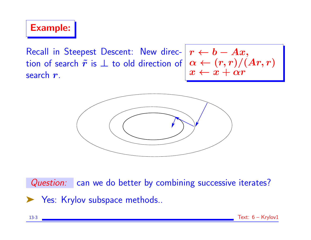Example:

Recall in Steepest Descent: New direc-  $r \leftarrow b - Ax$ , tion of search  $\tilde{\bm{r}}$  is  $\perp$  to old direction of search  $\bm{r}$ .  $\alpha \leftarrow (r,r)/(Ar,r)$  $x \leftarrow x + \alpha r$ 



Question: can we do better by combining successive iterates? ▶ Yes: Krylov subspace methods..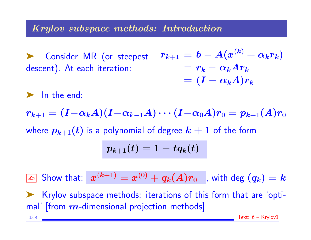### Krylov subspace methods: Introduction

Consider MR (or steepest descent). At each iteration:  $r_{k+1} = b - A(x^{(k)} + \alpha_k r_k)$  $r_k - \alpha_k A r_k$  $= (I - \alpha_k A) r_k$ 

In the end:

$$
r_{k+1} = (I - \alpha_k A)(I - \alpha_{k-1} A) \cdots (I - \alpha_0 A)r_0 = p_{k+1}(A)r_0
$$
  
where  $p_{k+1}(t)$  is a polynomial of degree  $k + 1$  of the form  

$$
p_{k+1}(t) = 1 - tq_k(t)
$$

 $\boxed{\scriptstyle \mathbb{Z}_{{\scriptscriptstyle 0}}}$  Show that:  $x^{(k+1)} = x^{(0)} + q_k(A) r_0 \ \ \ ,$  with  $\deg \ (q_k) = k$ ➤ Krylov subspace methods: iterations of this form that are 'optimal' [from  $m$ -dimensional projection methods] 13-4 Text: 6 – Krylov1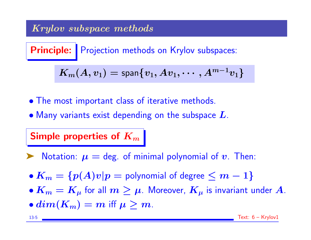# Krylov subspace methods

Principle: Projection methods on Krylov subspaces:

$$
\boldsymbol{K_m(A,v_1)=\mathsf{span}\{v_1,Av_1,\cdots,A^{m-1}v_1\}}
$$

- The most important class of iterative methods.
- $\bullet$  Many variants exist depending on the subspace  $L$ .

## Simple properties of  $K_m$

- $\blacktriangleright$  Notation:  $\mu =$  deg. of minimal polynomial of  $v$ . Then:
- $K_m = \{p(A)v|p =$  polynomial of degree  $\leq m-1\}$
- $\bullet K_m = K_\mu$  for all  $m \geq \mu$ . Moreover,  $K_\mu$  is invariant under  $A$ .
- $dim(K_m) = m$  iff  $\mu > m$ .

13-5 Text: 6 – Krylov1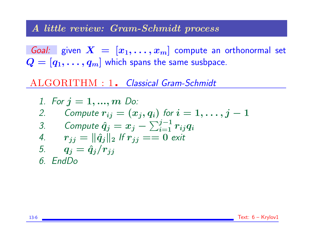#### A little review: Gram-Schmidt process

Goal: given  $X = [x_1, \ldots, x_m]$  compute an orthonormal set  $Q = [q_1, \ldots, q_m]$  which spans the same susbpace.

ALGORITHM : 1. Classical Gram-Schmidt

1. For 
$$
j = 1, ..., m
$$
 Do:  
\n2. Compute  $r_{ij} = (x_j, q_i)$  for  $i = 1, ..., j - 1$   
\n3. Compute  $\hat{q}_j = x_j - \sum_{i=1}^{j-1} r_{ij} q_i$   
\n4.  $r_{jj} = ||\hat{q}_j||_2$  If  $r_{jj} == 0$  exit  
\n5.  $q_j = \hat{q}_j/r_{jj}$   
\n6. EndDo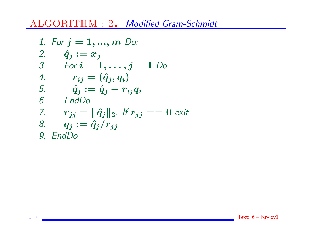ALGORITHM : 2. Modified Gram-Schmidt

1. For 
$$
j = 1, ..., m
$$
 Do:  
\n2.  $\hat{q}_j := x_j$   
\n3. For  $i = 1, ..., j - 1$  Do  
\n4.  $r_{ij} = (\hat{q}_j, q_i)$   
\n5.  $\hat{q}_j := \hat{q}_j - r_{ij}q_i$   
\n6. EndDo  
\n7.  $r_{jj} = ||\hat{q}_j||_2$ . If  $r_{jj} == 0$  exit  
\n8.  $q_j := \hat{q}_j/r_{jj}$   
\n9. EndDo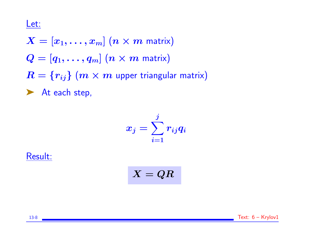#### Let:

- $X = [x_1, \ldots, x_m]$   $(n \times m$  matrix)
- $Q = [q_1, \ldots, q_m]$   $(n \times m$  matrix)
- $R = {r_{ij}} (m \times m$  upper triangular matrix)

▶ At each step,

$$
x_j = \sum_{i=1}^j r_{ij} q_i
$$

Result:

 $X = QR$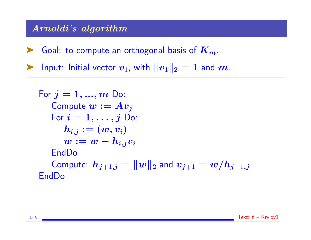## Arnoldi's algorithm

► Goal: to compute an orthogonal basis of  $K_m$ .

Input: Initial vector  $v_1$ , with  $||v_1||_2 = 1$  and  $m$ .

For 
$$
j = 1, ..., m
$$
 Do:\n\nCompute  $w := Av_j$ \nFor  $i = 1, ..., j$  Do:\n\n
$$
h_{i,j} := (w, v_i)
$$
\n
$$
w := w - h_{i,j}v_i
$$
\n\nEndDo\n\nCompute:  $h_{j+1,j} = ||w||_2$  and  $v_{j+1} = w/h_{j+1,j}$ \n\nEndDo

13-9 Text: 6 – Krylov1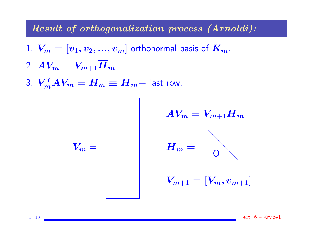Result of orthogonalization process (Arnoldi):

- 1.  $V_m = [v_1, v_2, ..., v_m]$  orthonormal basis of  $K_m$ .
- 2.  $AV_m = V_{m+1} \overline{H}_m$
- 3.  $V_m^T A V_m = H_m \equiv \overline{H}_m$  last row.

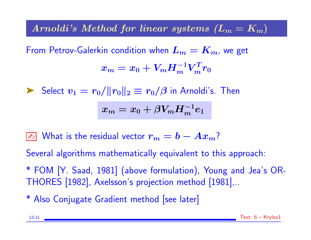# Arnoldi's Method for linear systems  $(L_m = K_m)$

From Petrov-Galerkin condition when  $L_m = K_m$ , we get  $x_m = x_0 + V_m H_m^{-1} V_m^T r_0$ 

Select  $v_1 = r_0/||r_0||_2 \equiv r_0/\beta$  in Arnoldi's. Then

$$
x_m=x_0+\beta V_m H_m^{-1}e_1
$$

 $\boxed{\mathbb{Z}^n}$  What is the residual vector  $r_m = b - Ax_m?$ 

Several algorithms mathematically equivalent to this approach:

\* FOM [Y. Saad, 1981] (above formulation), Young and Jea's OR-THORES [1982], Axelsson's projection method [1981],..

\* Also Conjugate Gradient method [see later]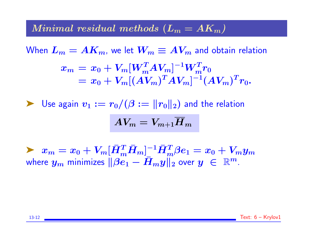#### Minimal residual methods  $(L_m = AK_m)$

When  $L_m = AK_m$ , we let  $W_m \equiv AV_m$  and obtain relation  $x_m = x_0 + V_m [W_m^T A V_m]^{-1} W_m^T r_0$  $= x_0 + V_m [(A V_m)^T A V_m]^{-1} (A V_m)^T r_0.$ 

 $\blacktriangleright$  Use again  $v_1 := r_0/(\beta := ||r_0||_2)$  and the relation

$$
AV_m = V_{m+1} \overline{H}_m
$$

 $\blacktriangleright \;\; x_m = x_0 + V_m [\bar{H}_m^T \bar{H}_m]^{-1} \bar{H}_m^T \beta e_1 = x_0 + V_m y_m$ where  $y_m$  minimizes  $\|\beta e_1 - \bar{H}_my\|_2$  over  $y \in \mathbb{R}^m$ .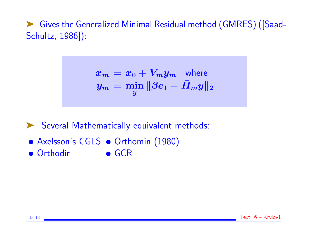➤ Gives the Generalized Minimal Residual method (GMRES) ([Saad-Schultz, 1986]):

$$
x_m = x_0 + V_my_m \quad \text{where} \quad
$$
  

$$
y_m = \min_y \|\beta e_1 - \bar{H}_m y\|_2
$$

▶ Several Mathematically equivalent methods:

- Axelsson's CGLS Orthomin (1980)
- Orthodir GCR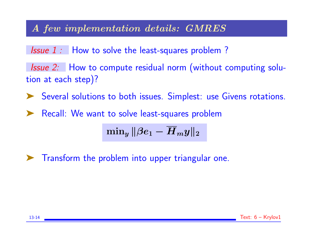### A few implementation details: GMRES

Issue 1: How to solve the least-squares problem?

Issue 2: How to compute residual norm (without computing solution at each step)?

▶ Several solutions to both issues. Simplest: use Givens rotations.

➤ Recall: We want to solve least-squares problem

$$
\mathop{\rm min}\nolimits_y\|\beta e_1 - \overline{H}_m y\|_2
$$

▶ Transform the problem into upper triangular one.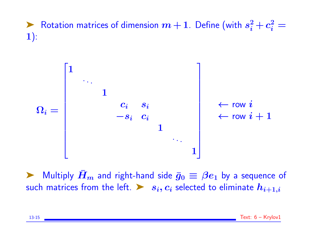▶ Rotation matrices of dimension  $m+1$ . Define (with  $s_i^2+c_i^2=$ 1):



ight-hand side  $\bar{g}_0 \equiv \beta e_1$  by a sequence of such matrices from the left.  $\triangleright$   $s_i, c_i$  selected to eliminate  $h_{i+1,i}$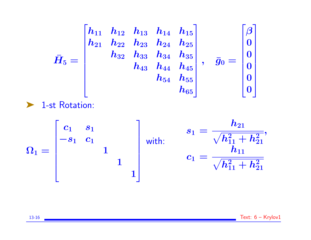$$
\bar{H}_5=\begin{bmatrix} h_{11} & h_{12} & h_{13} & h_{14} & h_{15} \\ h_{21} & h_{22} & h_{23} & h_{24} & h_{25} \\ & h_{32} & h_{33} & h_{34} & h_{35} \\ & & h_{43} & h_{44} & h_{45} \\ & & & h_{54} & h_{55} \\ & & & & h_{65} \end{bmatrix}, \quad \bar{g}_0=\begin{bmatrix} \beta \\ 0 \\ 0 \\ 0 \\ 0 \\ 0 \\ 0 \end{bmatrix}
$$
  
> 1-st Rotation:

$$
\Omega_1 = \begin{bmatrix} c_1 & s_1 \\ -s_1 & c_1 \\ & & 1 \\ & & & 1 \end{bmatrix} \quad \text{with:} \quad \begin{aligned} s_1 &= \frac{h_{21}}{\sqrt{h_{11}^2 + h_{21}^2}}, \\ c_1 &= \frac{h_{11}}{\sqrt{h_{11}^2 + h_{21}^2}} \end{aligned}
$$

13-16 Text: 6 – Krylov1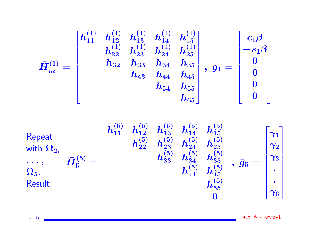$$
\bar{H}^{(1)}_{m} = \begin{bmatrix} h^{(1)}_{11} & h^{(1)}_{12} & h^{(1)}_{13} & h^{(1)}_{14} & h^{(1)}_{15} \\ & h^{(1)}_{22} & h^{(1)}_{23} & h^{(1)}_{24} & h^{(1)}_{25} \\ & h_{32} & h_{33} & h_{34} & h_{35} \\ & & h_{43} & h_{44} & h_{45} \\ & & & h_{54} & h_{55} \\ & & & & h_{65} \end{bmatrix}, \bar{g}_{1} = \begin{bmatrix} -\frac{1}{3}\end{bmatrix}
$$
\n
$$
\text{Repeat} \\ \text{with } \Omega_{2}, \\ \text{with } \Omega_{2}, \\ \text{with } \Omega_{2}, \\ \text{with } \Omega_{3}, \\ \bar{H}_{5}^{(5)} = \begin{bmatrix} h^{(5)}_{11} & h^{(5)}_{12} & h^{(5)}_{13} & h^{(5)}_{14} & h^{(5)}_{15} \\ & h^{(5)}_{22} & h^{(5)}_{23} & h^{(5)}_{24} & h^{(5)}_{25} \\ & & & h^{(5)}_{33} & h^{(5)}_{34} & h^{(5)}_{35} \\ & & & & h^{(5)}_{44} & h^{(5)}_{45} \\ & & & & & h^{(5)}_{55} \\ & & & & & & \\ \end{bmatrix}, \bar{g}_{5} = \begin{bmatrix} \gamma_{1} \\ \gamma_{2} \\ \gamma_{3} \\ \gamma_{4} \\ \gamma_{5} \\ \gamma_{6} \\ \gamma_{6} \\ \gamma_{6} \\ \gamma_{6} \\ \gamma_{6} \\ \gamma_{6} \\ \gamma_{6} \\ \gamma_{6} \\ \gamma_{6} \\ \gamma_{6} \\ \gamma_{6} \\ \gamma_{6} \\ \gamma_{6} \\ \gamma_{6} \\ \gamma_{6} \\ \gamma_{6} \\ \gamma_{6} \\ \gamma_{6} \\ \gamma_{7} \\ \gamma_{8} \\ \gamma_{9} \\ \gamma_{10} \\ \gamma_{11} \\ \gamma_{12} \\ \gamma_{13} \\ \gamma_{24} \\ \gamma_{35} \\ \gamma_{46} \\ \gamma_{57} \\ \gamma_{6} \\ \gamma_{78} \\ \gamma_{88} \\ \gamma_{98} \\ \gamma_{10} \\ \gamma_{11} \\ \gamma_{12} \\ \gamma_{13} \\ \gamma_{14} \\ \gamma_{15} \\ \
$$

13-17 Text: 6 – Krylov1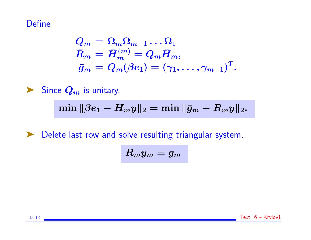## **Define**

$$
\begin{aligned} Q_m &= \Omega_m \Omega_{m-1} \dots \Omega_1 \\ \bar{R}_m &= \bar{H}_m^{(m)} = Q_m \bar{H}_m, \\ \bar{g}_m &= Q_m(\beta e_1) = (\gamma_1, \dots, \gamma_{m+1})^T. \end{aligned}
$$

$$
\sum_{n=1}^{\infty} \frac{1}{n^2} \text{ Since } Q_m \text{ is unitary,}
$$
  
 
$$
\min \|\beta e_1 - \bar{H}_m y\|_2 = \min \|\bar{g}_m - \bar{R}_m y\|_2.
$$

➤ Delete last row and solve resulting triangular system.

$$
R_my_m=g_m
$$